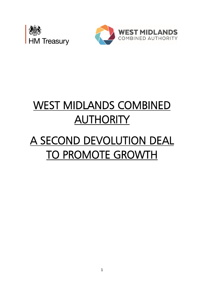



# WEST MIDLANDS COMBINED **AUTHORITY**

# A SECOND DEVOLUTION DEAL TO PROMOTE GROWTH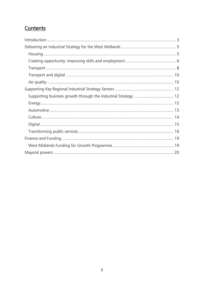# Contents

| Supporting business growth through the Industrial Strategy  12 |  |
|----------------------------------------------------------------|--|
|                                                                |  |
|                                                                |  |
|                                                                |  |
|                                                                |  |
|                                                                |  |
|                                                                |  |
|                                                                |  |
|                                                                |  |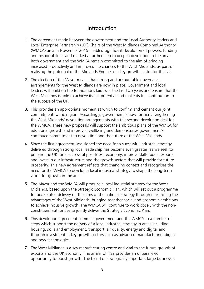## Introduction

- <span id="page-2-0"></span>1. The agreement made between the government and the Local Authority leaders and Local Enterprise Partnership (LEP) Chairs of the West Midlands Combined Authority (WMCA) area in November 2015 enabled significant devolution of powers, funding and responsibilities and marked a further step to deepen devolution in the area. Both government and the WMCA remain committed to the aim of bringing increased productivity and improved life chances to the West Midlands, as part of realising the potential of the Midlands Engine as a key growth centre for the UK.
- 2. The election of the Mayor means that strong and accountable governance arrangements for the West Midlands are now in place. Government and local leaders will build on the foundations laid over the last two years and ensure that the West Midlands is able to achieve its full potential and make its full contribution to the success of the UK.
- 3. This provides an appropriate moment at which to confirm and cement our joint commitment to the region. Accordingly, government is now further strengthening the West Midlands' devolution arrangements with this second devolution deal for the WMCA. These new proposals will support the ambitious plans of the WMCA for additional growth and improved wellbeing and demonstrates government's continued commitment to devolution and the future of the West Midlands.
- 4. Since the first agreement was signed the need for a successful industrial strategy delivered through strong local leadership has become even greater, as we seek to prepare the UK for a successful post-Brexit economy, improve skills, boost exports and invest in our infrastructure and the growth sectors that will provide for future prosperity. This new agreement reflects that changing context and recognises the need for the WMCA to develop a local industrial strategy to shape the long-term vision for growth in the area.
- 5. The Mayor and the WMCA will produce a local industrial strategy for the West Midlands, based upon the Strategic Economic Plan, which will set out a programme for accelerated delivery on the aims of the national strategy through maximising the advantages of the West Midlands, bringing together social and economic ambitions to achieve inclusive growth. The WMCA will continue to work closely with the nonconstituent authorities to jointly deliver the Strategic Economic Plan.
- 6. This devolution agreement commits government and the WMCA to a number of steps which support the delivery of a local industrial strategy in areas including housing, skills and employment, transport, air quality, energy and digital and through investment in key growth sectors such as advanced manufacturing, digital and new technologies.
- 7. The West Midlands is a key manufacturing centre and vital to the future growth of exports and the UK economy. The arrival of HS2 provides an unparalleled opportunity to boost growth. The blend of strategically important large businesses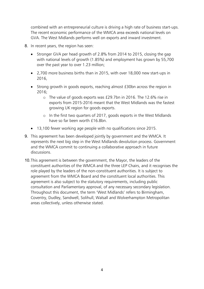combined with an entrepreneurial culture is driving a high rate of business start-ups. The recent economic performance of the WMCA area exceeds national levels on GVA. The West Midlands performs well on exports and inward investment.

- 8. In recent years, the region has seen:
	- Stronger GVA per head growth of 2.8% from 2014 to 2015, closing the gap with national levels of growth (1.85%) and employment has grown by 55,700 over the past year to over 1.23 million;
	- 2,700 more business births than in 2015, with over 18,000 new start-ups in 2016,
	- Strong growth in goods exports, reaching almost £30bn across the region in 2016;
		- o The value of goods exports was £29.7bn in 2016. The 12.6% rise in exports from 2015-2016 meant that the West Midlands was the fastest growing UK region for goods exports.
		- o In the first two quarters of 2017, goods exports in the West Midlands have so far been worth £16.8bn.
	- 13,100 fewer working age people with no qualifications since 2015.
- 9. This agreement has been developed jointly by government and the WMCA. It represents the next big step in the West Midlands devolution process. Government and the WMCA commit to continuing a collaborative approach in future discussions.
- 10.This agreement is between the government, the Mayor, the leaders of the constituent authorities of the WMCA and the three LEP Chairs, and it recognises the role played by the leaders of the non-constituent authorities. It is subject to agreement from the WMCA Board and the constituent local authorities. This agreement is also subject to the statutory requirements, including public consultation and Parliamentary approval, of any necessary secondary legislation. Throughout this document, the term 'West Midlands' refers to Birmingham, Coventry, Dudley, Sandwell, Solihull, Walsall and Wolverhampton Metropolitan areas collectively, unless otherwise stated.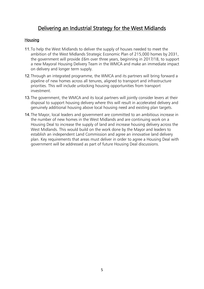# Delivering an Industrial Strategy for the West Midlands

## <span id="page-4-1"></span><span id="page-4-0"></span>Housing

- 11.To help the West Midlands to deliver the supply of houses needed to meet the ambition of the West Midlands Strategic Economic Plan of 215,000 homes by 2031, the government will provide £6m over three years, beginning in 2017/18, to support a new Mayoral Housing Delivery Team in the WMCA and make an immediate impact on delivery and longer term supply.
- 12.Through an integrated programme, the WMCA and its partners will bring forward a pipeline of new homes across all tenures, aligned to transport and infrastructure priorities. This will include unlocking housing opportunities from transport investment.
- 13.The government, the WMCA and its local partners will jointly consider levers at their disposal to support housing delivery where this will result in accelerated delivery and genuinely additional housing above local housing need and existing plan targets.
- 14.The Mayor, local leaders and government are committed to an ambitious increase in the number of new homes in the West Midlands and are continuing work on a Housing Deal to increase the supply of land and increase housing delivery across the West Midlands. This would build on the work done by the Mayor and leaders to establish an independent Land Commission and agree an innovative land delivery plan. Key requirements that areas must deliver in order to agree a Housing Deal with government will be addressed as part of future Housing Deal discussions.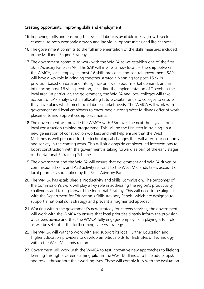#### <span id="page-5-0"></span>Creating opportunity: improving skills and employment

- 15.Improving skills and ensuring that skilled labour is available in key growth sectors is essential to both economic growth and individual opportunities and life chances.
- 16.The government commits to the full implementation of the skills measures included in the Midlands Engine Strategy.
- 17.The government commits to work with the WMCA as we establish one of the first Skills Advisory Panels (SAP). The SAP will involve a new local partnership between the WMCA, local employers, post-16 skills providers and central government. SAPs will have a key role in bringing together strategic planning for post-16 skills provision based on data and intelligence on local labour market demand, and in influencing post-16 skills provision, including the implementation of T levels in the local area. In particular, the government, the WMCA and local colleges will take account of SAP analysis when allocating future capital funds to colleges to ensure they have plans which meet local labour market needs. The WMCA will work with government and local employers to encourage a strong West Midlands offer of work placements and apprenticeship placements.
- 18.The government will provide the WMCA with £5m over the next three years for a local construction training programme. This will be the first step in training up a new generation of construction workers and will help ensure that the West Midlands is well prepared for the technological changes that will affect our economy and society in the coming years. This will sit alongside employer-led interventions to boost construction with the government is taking forward as part of the early stages of the National Retraining Scheme.
- 19.The government and the WMCA will ensure that government and WMCA driven or commissioned skills and AEB activity relevant to the West Midlands takes account of local priorities as identified by the Skills Advisory Panel.
- 20.The WMCA has established a Productivity and Skills Commission. The outcomes of the Commission's work will play a key role in addressing the region's productivity challenges and taking forward the Industrial Strategy. This will need to be aligned with the Department for Education's Skills Advisory Panels, which are designed to support a national skills strategy and prevent a fragmented approach.
- 21.Working within the government's new strategy for careers services, the government will work with the WMCA to ensure that local priorities directly inform the provision of careers advice and that the WMCA fully engages employers in playing a full role as will be set out in the forthcoming careers strategy.
- 22.The WMCA will want to work with and support its local Further Education and Higher Education providers to develop ambitious bids for Institutes of Technology within the West Midlands region.
- 23.Government will work with the WMCA to test innovative new approaches to lifelong learning through a career learning pilot in the West Midlands, to help adults upskill and reskill throughout their working lives. These will comply fully with the evaluation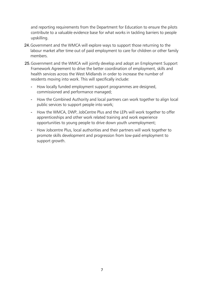and reporting requirements from the Department for Education to ensure the pilots contribute to a valuable evidence base for what works in tackling barriers to people upskilling.

- 24.Government and the WMCA will explore ways to support those returning to the labour market after time out of paid employment to care for children or other family members.
- 25.Government and the WMCA will jointly develop and adopt an Employment Support Framework Agreement to drive the better coordination of employment, skills and health services across the West Midlands in order to increase the number of residents moving into work. This will specifically include:
	- How locally funded employment support programmes are designed, commissioned and performance managed;
	- How the Combined Authority and local partners can work together to align local public services to support people into work;
	- How the WMCA, DWP, JobCentre Plus and the LEPs will work together to offer apprenticeships and other work related training and work experience opportunities to young people to drive down youth unemployment;
	- How Jobcentre Plus, local authorities and their partners will work together to promote skills development and progression from low-paid employment to support growth.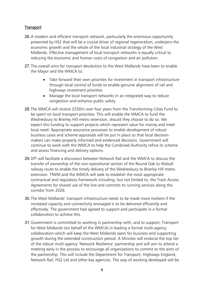## <span id="page-7-0"></span>**Transport**

- 26.A modern and efficient transport network, particularly the enormous opportunity presented by HS2 that will be a crucial driver of regional regeneration, underpins the economic growth and the whole of the local industrial strategy of the West Midlands. Effective management of local transport networks is equally critical to reducing the economic and human costs of congestion and air pollution.
- 27.The overall aims for transport devolution to the West Midlands have been to enable the Mayor and the WMCA to:
	- Take forward their own priorities for investment in transport infrastructure through local control of funds to enable genuine alignment of rail and highways investment priorities.
	- Manage the local transport networks in an integrated way to reduce congestion and enhance public safety.
- 28.The WMCA will receive £250m over four years from the Transforming Cities Fund to be spent on local transport priorities. This will enable the WMCA to fund the Wednesbury to Brierley Hill metro extension, should they choose to do so. We expect this funding to support projects which represent value for money and meet local need. Appropriate assurance processes to enable development of robust business cases and scheme appraisals will be put in place so that local decisionmakers can make properly informed and evidenced decisions. Government will continue to work with the WMCA to help the Combined Authority refine its scheme and assess financing and delivery options.
- 29.DfT will facilitate a discussion between Network Rail and the WMCA to discuss the transfer of ownership of the non-operational section of the Round Oak to Walsall railway route to enable the timely delivery of the Wednesbury to Brierley Hill metro extension. TfWM and the WMCA will seek to establish the most appropriate contractual and regulatory framework including, but not limited to, the Track Access Agreements for shared use of the line and commits to running services along the corridor from 2026.
- 30.The West Midlands' transport infrastructure needs to be made more resilient if the increased capacity and connectivity envisaged is to be delivered efficiently and effectively. The government had agreed to support and participate in a formal collaboration to achieve this.
- 31.Government is committed to working in partnership with, and to support, Transport for West Midlands (on behalf of the WMCA) in leading a formal multi-agency collaboration which will keep the West Midlands open for business and supporting growth during the extended construction period. A Minister will endorse the top tier of the robust multi-agency 'Network Resilience' partnership and will aim to attend a meeting early in the process to encourage all organisations to commit to the aims of the partnership. This will include the Department for Transport, Highways England, Network Rail, HS2 Ltd and other key agencies. The way of working developed will be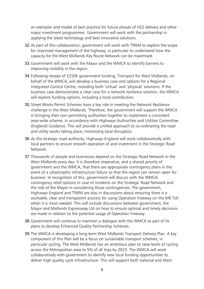an exemplar and model of best practice for future phases of HS2 delivery and other major investment programmes. Government will work with the partnership in applying the latest technology and best innovative solutions.

- 32.As part of this collaboration, government will work with TfWM to explore the scope for improved management of the highway, in particular to understand how the capacity for the West Midlands Key Route Network can be maximised.
- 33.Government will work with the Mayor and the WMCA to identify barriers to improving mobility in the region.
- 34.Following receipt of £250k government funding, Transport for West Midlands, on behalf of the WMCA, will develop a business case and options for a Regional Integrated Control Centre, including both 'virtual' and 'physical' solutions. If the business case demonstrates a clear case for a network resilience solution, the WMCA will explore funding options, including a local contribution.
- 35.Street Works Permit Schemes have a key role in meeting the Network Resilience challenge in the West Midlands. Therefore, the government will support the WMCA in bringing their non-permitting authorities together to implement a consistent area-wide scheme, in accordance with Highways Authorities and Utilities Committee (England) Guidance. This will provide a unified approach to co-ordinating the road and utility works taking place, minimising local disruption.
- 36.As the strategic road authority, Highways England will work collaboratively with local partners to ensure smooth operation of and investment in the Strategic Road Network.
- 37.Thousands of people and businesses depend on the Strategic Road Network in the West Midlands every day. It is therefore imperative, and a shared priority of government and the WMCA, that there are appropriate contingency plans in the event of a catastrophic infrastructure failure so that the region can remain open for business. In recognition of this, government will discuss with the WMCA contingency relief options in case of incidents on the Strategic Road Network and the role of the Mayor in considering those contingencies. The government, Highways England and TfWM are also in discussions about ensuring there is a workable, clear and transparent process for using Operation Freeway on the M6 Toll when it is most needed. This will include discussions between government, the Mayor and Midlands Expressway Ltd on how to ensure optimal and timely decisions are made in relation to the potential usage of Operation Freeway.
- 38.Government will continue to maintain a dialogue with the WMCA as part of its plans to develop Enhanced Quality Partnership Schemes.
- 39.The WMCA is developing a long-term West Midlands Transport Delivery Plan. A key component of this Plan will be a focus on sustainable transport schemes, in particular cycling. The West Midlands has an ambitious plan to raise levels of cycling across the Metropolitan area to 5% of all trips by 2023. The WMCA will work collaboratively with government to identify new local funding opportunities to deliver high quality cycle infrastructure. This will support both national and West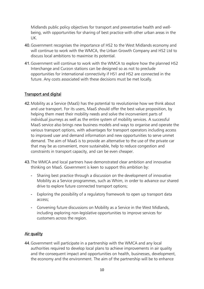Midlands public policy objectives for transport and preventative health and wellbeing, with opportunities for sharing of best practice with other urban areas in the UK.

- 40.Government recognises the importance of HS2 to the West Midlands economy and will continue to work with the WMCA, the Urban Growth Company and HS2 Ltd to discuss local ambitions to maximise its potential.
- 41.Government will continue to work with the WMCA to explore how the planned HS2 Interchange and Curzon stations can be designed so as not to preclude opportunities for international connectivity if HS1 and HS2 are connected in the future. Any costs associated with these decisions must be met locally.

## <span id="page-9-0"></span>Transport and digital

- 42.Mobility as a Service (MaaS) has the potential to revolutionise how we think about and use transport. For its users, MaaS should offer the best value proposition, by helping them meet their mobility needs and solve the inconvenient parts of individual journeys as well as the entire system of mobility services. A successful MaaS service also brings new business models and ways to organise and operate the various transport options, with advantages for transport operators including access to improved user and demand information and new opportunities to serve unmet demand. The aim of MaaS is to provide an alternative to the use of the private car that may be as convenient, more sustainable, help to reduce congestion and constraints in transport capacity, and can be even cheaper.
- 43.The WMCA and local partners have demonstrated clear ambition and innovative thinking on MaaS. Government is keen to support this ambition by:
	- Sharing best practice through a discussion on the development of innovative Mobility as a Service programmes, such as Whim, in order to advance our shared drive to explore future connected transport options;
	- Exploring the possibility of a regulatory framework to open up transport data access;
	- Convening future discussions on Mobility as a Service in the West Midlands, including exploring non-legislative opportunities to improve services for customers across the region.

#### <span id="page-9-1"></span>Air quality

44.Government will participate in a partnership with the WMCA and any local authorities required to develop local plans to achieve improvements in air quality and the consequent impact and opportunities on health, businesses, development, the economy and the environment. The aim of the partnership will be to enhance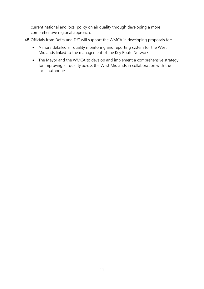current national and local policy on air quality through developing a more comprehensive regional approach.

45.Officials from Defra and DfT will support the WMCA in developing proposals for:

- A more detailed air quality monitoring and reporting system for the West Midlands linked to the management of the Key Route Network;
- The Mayor and the WMCA to develop and implement a comprehensive strategy for improving air quality across the West Midlands in collaboration with the local authorities.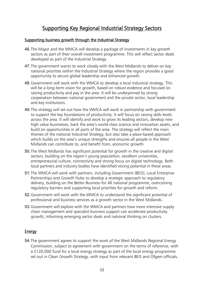# Supporting Key Regional Industrial Strategy Sectors

#### <span id="page-11-1"></span><span id="page-11-0"></span>Supporting business growth through the Industrial Strategy

- 46.The Mayor and the WMCA will develop a package of investments in key growth sectors as part of their overall investment programme. This will reflect sector deals developed as part of the Industrial Strategy.
- 47.The government wants to work closely with the West Midlands to deliver on key national priorities within the Industrial Strategy where the region provides a good opportunity to secure global leadership and enhanced growth.
- 48.Government will work with the WMCA to develop a local industrial strategy. This will be a long-term vision for growth, based on robust evidence and focused on raising productivity and pay in the area. It will be underpinned by strong cooperation between national government and the private sector, local leadership and key institutions.
- 49.The strategy will set out how the WMCA will work in partnership with government to support the key foundations of productivity. It will focus on raising skills levels across the area. It will identify and work to grow its leading sectors, develop new high value businesses, back the area's world-class science and innovation assets, and build on opportunities in all parts of the area. The strategy will reflect the main themes of the national Industrial Strategy, but also take a place-based approach which builds on the area's unique strengths and ensures all people in the West Midlands can contribute to, and benefit from, economic growth.
- 50.The West Midlands has significant potential for growth in the creative and digital sectors, building on the region's young population, excellent universities, entrepreneurial culture, connectivity and strong focus on digital technology. Both local partners and industry bodies have identified strong potential in these areas.
- 51.The WMCA will work with partners, including Government (BEIS), Local Enterprise Partnerships and Growth Hubs to develop a strategic approach to regulatory delivery, building on the Better Business for All national programme, overcoming regulatory barriers and supporting local priorities for growth and reform.
- 52.Government will work with the WMCA to understand the significant potential of professional and business services as a growth sector in the West Midlands.
- 53.Government will explore with the WMCA and partners how more intensive supply chain management and specialist business support can accelerate productivity growth, informing emerging sector deals and national thinking on clusters.

#### <span id="page-11-2"></span>Energy

54.The government agrees to support the work of the West Midlands Regional Energy Commission, subject to agreement with government on the terms of reference, with a £120,000 fund for a local energy strategy as part of the local energy programme set out in Clean Growth Strategy, with input from relevant BEIS and Ofgem officials.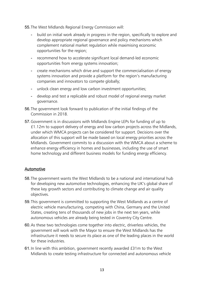55.The West Midlands Regional Energy Commission will:

- build on initial work already in progress in the region, specifically to explore and develop appropriate regional governance and policy mechanisms which complement national market regulation while maximising economic opportunities for the region;
- recommend how to accelerate significant local demand-led economic opportunities from energy systems innovation;
- create mechanisms which drive and support the commercialisation of energy systems innovation and provide a platform for the region's manufacturing companies and innovators to compete globally;
- unlock clean energy and low carbon investment opportunities;
- develop and test a replicable and robust model of regional energy market governance.
- 56.The government look forward to publication of the initial findings of the Commission in 2018.
- 57.Government is in discussions with Midlands Engine LEPs for funding of up to £1.12m to support delivery of energy and low carbon projects across the Midlands, under which WMCA projects can be considered for support. Decisions over the allocation of this support will be made based on local energy priorities across the Midlands. Government commits to a discussion with the WMCA about a scheme to enhance energy efficiency in homes and businesses, including the use of smart home technology and different business models for funding energy efficiency.

## <span id="page-12-0"></span>Automotive

- 58.The government wants the West Midlands to be a national and international hub for developing new automotive technologies, enhancing the UK's global share of these key growth sectors and contributing to climate change and air quality objectives.
- 59.This government is committed to supporting the West Midlands as a centre of electric vehicle manufacturing, competing with China, Germany and the United States, creating tens of thousands of new jobs in the next ten years, while autonomous vehicles are already being tested in Coventry City Centre.
- 60.As these two technologies come together into electric, driverless vehicles, the government will work with the Mayor to ensure the West Midlands has the infrastructure it needs to secure its place as one of the leading places in the world for these industries.
- 61.In line with this ambition, government recently awarded £31m to the West Midlands to create testing infrastructure for connected and autonomous vehicle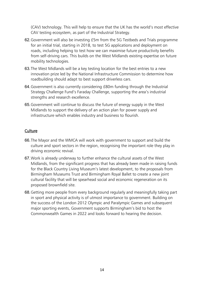(CAV) technology. This will help to ensure that the UK has the world's most effective CAV testing ecosystem, as part of the Industrial Strategy.

- 62.Government will also be investing £5m from the 5G Testbeds and Trials programme for an initial trial, starting in 2018, to test 5G applications and deployment on roads, including helping to test how we can maximise future productivity benefits from self-driving cars. This builds on the West Midlands existing expertise on future mobility technologies.
- 63.The West Midlands will be a key testing location for the best entries to a new innovation prize led by the National Infrastructure Commission to determine how roadbuilding should adapt to best support driverless cars.
- 64.Government is also currently considering £80m funding through the Industrial Strategy Challenge Fund's Faraday Challenge, supporting the area's industrial strengths and research excellence.
- 65.Government will continue to discuss the future of energy supply in the West Midlands to support the delivery of an action plan for power supply and infrastructure which enables industry and business to flourish.

## <span id="page-13-0"></span>**Culture**

- 66.The Mayor and the WMCA will work with government to support and build the culture and sport sectors in the region, recognising the important role they play in driving economic revival.
- 67.Work is already underway to further enhance the cultural assets of the West Midlands, from the significant progress that has already been made in raising funds for the Black Country Living Museum's latest development, to the proposals from Birmingham Museums Trust and Birmingham Royal Ballet to create a new joint cultural facility that will be spearhead social and economic regeneration on its proposed brownfield site.
- 68.Getting more people from every background regularly and meaningfully taking part in sport and physical activity is of utmost importance to government. Building on the success of the London 2012 Olympic and Paralympic Games and subsequent major sporting events, Government supports Birmingham's bid to host the Commonwealth Games in 2022 and looks forward to hearing the decision.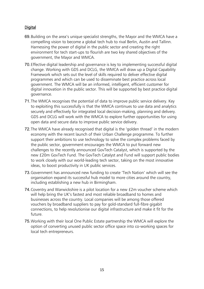## <span id="page-14-0"></span>**Digital**

- 69.Building on the area's unique specialist strengths, the Mayor and the WMCA have a compelling vision to become a global tech hub to rival Berlin, Austin and Tallinn. Harnessing the power of digital in the public sector and creating the right environment for tech start-ups to flourish are two key shared objectives of the government, the Mayor and WMCA.
- 70.Effective digital leadership and governance is key to implementing successful digital change. Working with GDS and DCLG, the WMCA will draw up a Digital Capability Framework which sets out the level of skills required to deliver effective digital programmes and which can be used to disseminate best practice across local government. The WMCA will be an informed, intelligent, efficient customer for digital innovation in the public sector. This will be supported by best practice digital governance.
- 71.The WMCA recognises the potential of data to improve public service delivery. Key to exploiting this successfully is that the WMCA continues to use data and analytics securely and effectively for integrated local decision-making, planning and delivery. GDS and DCLG will work with the WMCA to explore further opportunities for using open data and secure data to improve public service delivery.
- 72.The WMCA have already recognised that digital is the 'golden thread' in the modern economy with the recent launch of their Urban Challenge programme. To further support their ambitions to use technology to solve the complex problems faced by the public sector, government encourages the WMCA to put forward new challenges to the recently announced GovTech Catalyst, which is supported by the new £20m GovTech Fund. The GovTech Catalyst and Fund will support public bodies to work closely with our world-leading tech sector, taking on the most innovative ideas, to boost productivity in UK public services.
- 73.Government has announced new funding to create 'Tech Nation' which will see the organisation expand its successful hub model to more cities around the country, including establishing a new hub in Birmingham.
- 74.Coventry and Warwickshire is a pilot location for a new £2m voucher scheme which will help bring the UK's fastest and most reliable broadband to homes and businesses across the country. Local companies will be among those offered vouchers by broadband suppliers to pay for gold-standard full-fibre gigabit connections, to help revolutionise our digital infrastructure and make it fit for the future.
- 75.Working with their local One Public Estate partnership the WMCA will explore the option of converting unused public sector office space into co-working spaces for local tech entrepreneurs.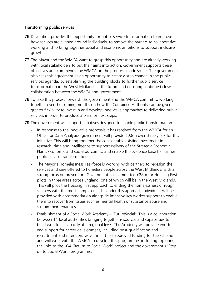#### <span id="page-15-0"></span>Transforming public services

- 76.Devolution provides the opportunity for public service transformation to improve how services are aligned around individuals, to remove the barriers to collaborative working and to bring together social and economic ambitions to support inclusive growth.
- 77.The Mayor and the WMCA want to grasp this opportunity and are already working with local stakeholders to put their aims into action. Government supports these objectives and commends the WMCA on the progress made so far. The government also sees this agreement as an opportunity to create a step change in the public services agenda, by establishing the building blocks to further public service transformation in the West Midlands in the future and ensuring continued close collaboration between the WMCA and government.
- 78.To take this process forward, the government and the WMCA commit to working together over the coming months on how the Combined Authority can be given greater flexibility to invest in and develop innovative approaches to delivering public services in order to produce a plan for next steps.

79.The government will support initiatives designed to enable public transformation:

- In response to the innovative proposals it has received from the WMCA for an Office for Data Analytics, government will provide £0.8m over three years for this initiative. This will bring together the considerable existing investment in research, data and intelligence to support delivery of the Strategic Economic Plan's economic and social outcomes, and enable the evidence base for further public service transformation.
- The Mayor's Homelessness Taskforce is working with partners to redesign the services and care offered to homeless people across the West Midlands, with a strong focus on prevention. Government has committed £28m for Housing First pilots in three areas across England, one of which will be in the West Midlands. This will pilot the Housing First approach to ending the homelessness of rough sleepers with the most complex needs. Under this approach individuals will be provided with accommodation alongside intensive key worker support to enable them to recover from issues such as mental health or substance abuse and sustain their tenancies.
- Establishment of a Social Work Academy 'FutureSocial'. This is a collaboration between 14 local authorities bringing together resources and capabilities to build workforce capacity at a regional level. The Academy will provide end-toend support for career development, including post-qualification and recruitment and retention. Government has approved funding for the scheme and will work with the WMCA to develop this programme, including exploring the links to the LGA 'Return to Social Work' project and the government's 'Step up to Social Work' programme.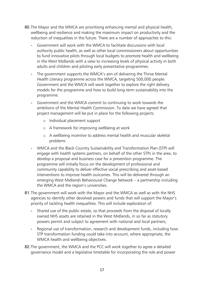- 80.The Mayor and the WMCA are prioritising enhancing mental and physical health, wellbeing and resilience and making the maximum impact on productivity and the reduction of inequalities in the future. There are a number of approaches to this:
	- Government will work with the WMCA to facilitate discussions with local authority public health, as well as other local commissioners about opportunities to fund innovative pilots through local budgets to promote health and wellbeing in the West Midlands with a view to increasing levels of physical activity in both adults and children and piloting early preventative programmes.
	- The government supports the WMCA's aim of delivering the Thrive Mental Health Literacy programme across the WMCA, targeting 500,000 people. Government and the WMCA will work together to explore the right delivery models for the programme and how to build long-term sustainability into the programme.
	- Government and the WMCA commit to continuing to work towards the ambitions of the Mental Health Commission. To date we have agreed that project management will be put in place for the following projects:
		- o Individual placement support
		- o A framework for improving wellbeing at work
		- o A wellbeing incentive to address mental health and muscular skeletal problems
	- WMCA and the Black Country Sustainability and Transformation Plan (STP) will engage with health systems partners, on behalf of the other STPs in the area, to develop a proposal and business case for a prevention programme. The programme will initially focus on the development of professional and community capability to deliver effective social prescribing and asset-based interventions to improve health outcomes. This will be delivered through an emerging West Midlands Behavioural Change Network – a partnership including the WMCA and the region's universities.
- 81.The government will work with the Mayor and the WMCA as well as with the NHS agencies to identify other devolved powers and funds that will support the Mayor's priority of tackling health inequalities. This will include exploration of:
	- Shared use of the public estate, so that proceeds from the disposal of locally owned NHS assets are retained in the West Midlands, in so far as statutory powers permit and subject to agreement with national and local partners;
	- Regional use of transformation, research and development funds, including how STP transformation funding could take into account, where appropriate, the WMCA health and wellbeing objectives.
- 82.The government, the WMCA and the PCC will work together to agree a detailed governance model and a legislative timetable for incorporating the role and power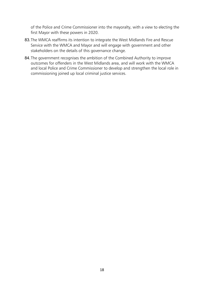of the Police and Crime Commissioner into the mayoralty, with a view to electing the first Mayor with these powers in 2020.

- 83.The WMCA reaffirms its intention to integrate the West Midlands Fire and Rescue Service with the WMCA and Mayor and will engage with government and other stakeholders on the details of this governance change.
- 84. The government recognises the ambition of the Combined Authority to improve outcomes for offenders in the West Midlands area, and will work with the WMCA and local Police and Crime Commissioner to develop and strengthen the local role in commissioning joined up local criminal justice services.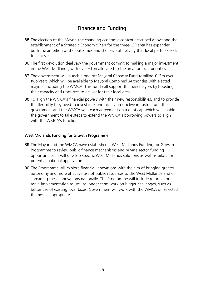# Finance and Funding

- <span id="page-18-0"></span>85.The election of the Mayor, the changing economic context described above and the establishment of a Strategic Economic Plan for the three-LEP area has expanded both the ambition of the outcomes and the pace of delivery that local partners seek to achieve.
- 86.The first devolution deal saw the government commit to making a major investment in the West Midlands, with over £1bn allocated to the area for local priorities.
- 87. The government will launch a one-off Mayoral Capacity Fund totalling £12m over two years which will be available to Mayoral Combined Authorities with elected mayors, including the WMCA. This fund will support the new mayors by boosting their capacity and resources to deliver for their local area.
- 88.To align the WMCA's financial powers with their new responsibilities, and to provide the flexibility they need to invest in economically productive infrastructure, the government and the WMCA will reach agreement on a debt cap which will enable the government to take steps to extend the WMCA's borrowing powers to align with the WMCA's functions.

#### <span id="page-18-1"></span>West Midlands Funding for Growth Programme

- 89.The Mayor and the WMCA have established a West Midlands Funding for Growth Programme to review public finance mechanisms and private sector funding opportunities. It will develop specific West Midlands solutions as well as pilots for potential national application.
- 90.The Programme will explore financial innovations with the aim of bringing greater autonomy and more effective use of public resources to the West Midlands and of spreading these innovations nationally. The Programme will include reforms for rapid implementation as well as longer-term work on bigger challenges, such as better use of existing local taxes. Government will work with the WMCA on selected themes as appropriate.